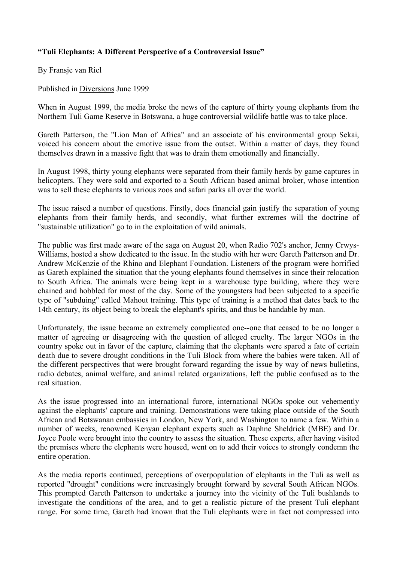## **"Tuli Elephants: A Different Perspective of a Controversial Issue"**

By Fransje van Riel

Published in Diversions June 1999

When in August 1999, the media broke the news of the capture of thirty young elephants from the Northern Tuli Game Reserve in Botswana, a huge controversial wildlife battle was to take place.

Gareth Patterson, the "Lion Man of Africa" and an associate of his environmental group Sekai, voiced his concern about the emotive issue from the outset. Within a matter of days, they found themselves drawn in a massive fight that was to drain them emotionally and financially.

In August 1998, thirty young elephants were separated from their family herds by game captures in helicopters. They were sold and exported to a South African based animal broker, whose intention was to sell these elephants to various zoos and safari parks all over the world.

The issue raised a number of questions. Firstly, does financial gain justify the separation of young elephants from their family herds, and secondly, what further extremes will the doctrine of "sustainable utilization" go to in the exploitation of wild animals.

The public was first made aware of the saga on August 20, when Radio 702's anchor, Jenny Crwys-Williams, hosted a show dedicated to the issue. In the studio with her were Gareth Patterson and Dr. Andrew McKenzie of the Rhino and Elephant Foundation. Listeners of the program were horrified as Gareth explained the situation that the young elephants found themselves in since their relocation to South Africa. The animals were being kept in a warehouse type building, where they were chained and hobbled for most of the day. Some of the youngsters had been subjected to a specific type of "subduing" called Mahout training. This type of training is a method that dates back to the 14th century, its object being to break the elephant's spirits, and thus be handable by man.

Unfortunately, the issue became an extremely complicated one--one that ceased to be no longer a matter of agreeing or disagreeing with the question of alleged cruelty. The larger NGOs in the country spoke out in favor of the capture, claiming that the elephants were spared a fate of certain death due to severe drought conditions in the Tuli Block from where the babies were taken. All of the different perspectives that were brought forward regarding the issue by way of news bulletins, radio debates, animal welfare, and animal related organizations, left the public confused as to the real situation.

As the issue progressed into an international furore, international NGOs spoke out vehemently against the elephants' capture and training. Demonstrations were taking place outside of the South African and Botswanan embassies in London, New York, and Washington to name a few. Within a number of weeks, renowned Kenyan elephant experts such as Daphne Sheldrick (MBE) and Dr. Joyce Poole were brought into the country to assess the situation. These experts, after having visited the premises where the elephants were housed, went on to add their voices to strongly condemn the entire operation.

As the media reports continued, perceptions of overpopulation of elephants in the Tuli as well as reported "drought" conditions were increasingly brought forward by several South African NGOs. This prompted Gareth Patterson to undertake a journey into the vicinity of the Tuli bushlands to investigate the conditions of the area, and to get a realistic picture of the present Tuli elephant range. For some time, Gareth had known that the Tuli elephants were in fact not compressed into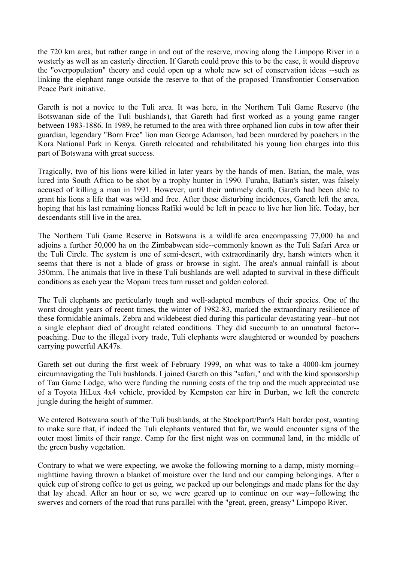the 720 km area, but rather range in and out of the reserve, moving along the Limpopo River in a westerly as well as an easterly direction. If Gareth could prove this to be the case, it would disprove the "overpopulation" theory and could open up a whole new set of conservation ideas --such as linking the elephant range outside the reserve to that of the proposed Transfrontier Conservation Peace Park initiative.

Gareth is not a novice to the Tuli area. It was here, in the Northern Tuli Game Reserve (the Botswanan side of the Tuli bushlands), that Gareth had first worked as a young game ranger between 1983-1886. In 1989, he returned to the area with three orphaned lion cubs in tow after their guardian, legendary "Born Free" lion man George Adamson, had been murdered by poachers in the Kora National Park in Kenya. Gareth relocated and rehabilitated his young lion charges into this part of Botswana with great success.

Tragically, two of his lions were killed in later years by the hands of men. Batian, the male, was lured into South Africa to be shot by a trophy hunter in 1990. Furaha, Batian's sister, was falsely accused of killing a man in 1991. However, until their untimely death, Gareth had been able to grant his lions a life that was wild and free. After these disturbing incidences, Gareth left the area, hoping that his last remaining lioness Rafiki would be left in peace to live her lion life. Today, her descendants still live in the area.

The Northern Tuli Game Reserve in Botswana is a wildlife area encompassing 77,000 ha and adjoins a further 50,000 ha on the Zimbabwean side--commonly known as the Tuli Safari Area or the Tuli Circle. The system is one of semi-desert, with extraordinarily dry, harsh winters when it seems that there is not a blade of grass or browse in sight. The area's annual rainfall is about 350mm. The animals that live in these Tuli bushlands are well adapted to survival in these difficult conditions as each year the Mopani trees turn russet and golden colored.

The Tuli elephants are particularly tough and well-adapted members of their species. One of the worst drought years of recent times, the winter of 1982-83, marked the extraordinary resilience of these formidable animals. Zebra and wildebeest died during this particular devastating year--but not a single elephant died of drought related conditions. They did succumb to an unnatural factor- poaching. Due to the illegal ivory trade, Tuli elephants were slaughtered or wounded by poachers carrying powerful AK47s.

Gareth set out during the first week of February 1999, on what was to take a 4000-km journey circumnavigating the Tuli bushlands. I joined Gareth on this "safari," and with the kind sponsorship of Tau Game Lodge, who were funding the running costs of the trip and the much appreciated use of a Toyota HiLux 4x4 vehicle, provided by Kempston car hire in Durban, we left the concrete jungle during the height of summer.

We entered Botswana south of the Tuli bushlands, at the Stockport/Parr's Halt border post, wanting to make sure that, if indeed the Tuli elephants ventured that far, we would encounter signs of the outer most limits of their range. Camp for the first night was on communal land, in the middle of the green bushy vegetation.

Contrary to what we were expecting, we awoke the following morning to a damp, misty morning- nighttime having thrown a blanket of moisture over the land and our camping belongings. After a quick cup of strong coffee to get us going, we packed up our belongings and made plans for the day that lay ahead. After an hour or so, we were geared up to continue on our way--following the swerves and corners of the road that runs parallel with the "great, green, greasy" Limpopo River.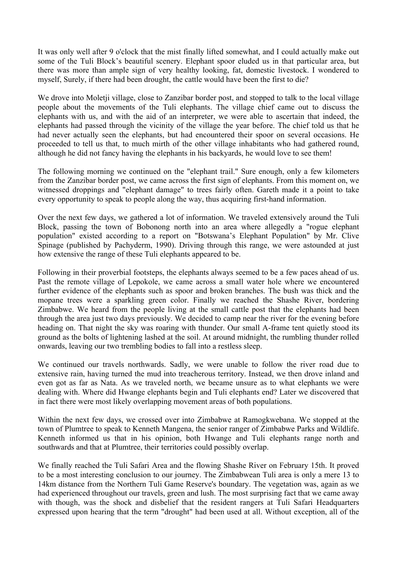It was only well after 9 o'clock that the mist finally lifted somewhat, and I could actually make out some of the Tuli Block's beautiful scenery. Elephant spoor eluded us in that particular area, but there was more than ample sign of very healthy looking, fat, domestic livestock. I wondered to myself, Surely, if there had been drought, the cattle would have been the first to die?

We drove into Moletji village, close to Zanzibar border post, and stopped to talk to the local village people about the movements of the Tuli elephants. The village chief came out to discuss the elephants with us, and with the aid of an interpreter, we were able to ascertain that indeed, the elephants had passed through the vicinity of the village the year before. The chief told us that he had never actually seen the elephants, but had encountered their spoor on several occasions. He proceeded to tell us that, to much mirth of the other village inhabitants who had gathered round, although he did not fancy having the elephants in his backyards, he would love to see them!

The following morning we continued on the "elephant trail." Sure enough, only a few kilometers from the Zanzibar border post, we came across the first sign of elephants. From this moment on, we witnessed droppings and "elephant damage" to trees fairly often. Gareth made it a point to take every opportunity to speak to people along the way, thus acquiring first-hand information.

Over the next few days, we gathered a lot of information. We traveled extensively around the Tuli Block, passing the town of Bobonong north into an area where allegedly a "rogue elephant population" existed according to a report on "Botswana's Elephant Population" by Mr. Clive Spinage (published by Pachyderm, 1990). Driving through this range, we were astounded at just how extensive the range of these Tuli elephants appeared to be.

Following in their proverbial footsteps, the elephants always seemed to be a few paces ahead of us. Past the remote village of Lepokole, we came across a small water hole where we encountered further evidence of the elephants such as spoor and broken branches. The bush was thick and the mopane trees were a sparkling green color. Finally we reached the Shashe River, bordering Zimbabwe. We heard from the people living at the small cattle post that the elephants had been through the area just two days previously. We decided to camp near the river for the evening before heading on. That night the sky was roaring with thunder. Our small A-frame tent quietly stood its ground as the bolts of lightening lashed at the soil. At around midnight, the rumbling thunder rolled onwards, leaving our two trembling bodies to fall into a restless sleep.

We continued our travels northwards. Sadly, we were unable to follow the river road due to extensive rain, having turned the mud into treacherous territory. Instead, we then drove inland and even got as far as Nata. As we traveled north, we became unsure as to what elephants we were dealing with. Where did Hwange elephants begin and Tuli elephants end? Later we discovered that in fact there were most likely overlapping movement areas of both populations.

Within the next few days, we crossed over into Zimbabwe at Ramogkwebana. We stopped at the town of Plumtree to speak to Kenneth Mangena, the senior ranger of Zimbabwe Parks and Wildlife. Kenneth informed us that in his opinion, both Hwange and Tuli elephants range north and southwards and that at Plumtree, their territories could possibly overlap.

We finally reached the Tuli Safari Area and the flowing Shashe River on February 15th. It proved to be a most interesting conclusion to our journey. The Zimbabwean Tuli area is only a mere 13 to 14km distance from the Northern Tuli Game Reserve's boundary. The vegetation was, again as we had experienced throughout our travels, green and lush. The most surprising fact that we came away with though, was the shock and disbelief that the resident rangers at Tuli Safari Headquarters expressed upon hearing that the term "drought" had been used at all. Without exception, all of the